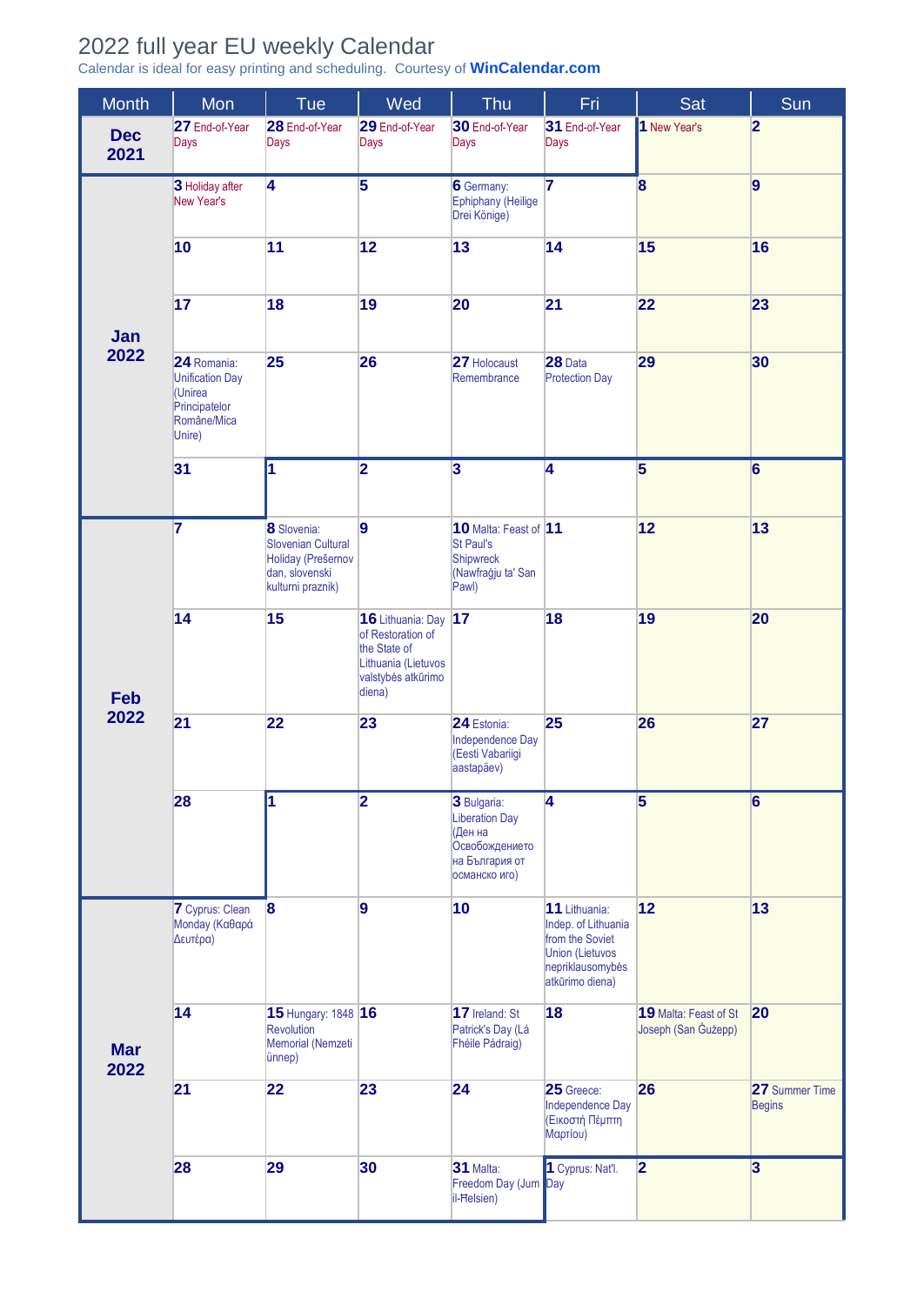## 2022 full year EU weekly Calendar

Calendar is ideal for easy printing and scheduling. Courtesy of **[WinCalendar.com](https://www.wincalendar.com/2022-Calendar-with-EU-Holidays)**

| <b>Month</b>       | Mon                                                                                        | Tue                                                                                           | Wed                                                                                                              | Thu                                                                                                  | Fri                                                                                                                      | Sat                                          | Sun                             |
|--------------------|--------------------------------------------------------------------------------------------|-----------------------------------------------------------------------------------------------|------------------------------------------------------------------------------------------------------------------|------------------------------------------------------------------------------------------------------|--------------------------------------------------------------------------------------------------------------------------|----------------------------------------------|---------------------------------|
| <b>Dec</b><br>2021 | 27 End-of-Year<br>Days                                                                     | 28 End-of-Year<br>Days                                                                        | 29 End-of-Year<br>Days                                                                                           | 30 End-of-Year<br>Days                                                                               | 31 End-of-Year<br>Days                                                                                                   | 1 New Year's                                 | $\overline{\mathbf{2}}$         |
|                    | 3 Holiday after<br>New Year's                                                              | $\overline{4}$                                                                                | $\overline{\mathbf{5}}$                                                                                          | <b>6</b> Germany:<br>Ephiphany (Heilige<br>Drei Könige)                                              | $\overline{\mathbf{7}}$                                                                                                  | 8                                            | 9                               |
|                    | 10                                                                                         | 11                                                                                            | 12                                                                                                               | 13                                                                                                   | 14                                                                                                                       | 15                                           | 16                              |
| Jan<br>2022        | 17                                                                                         | 18                                                                                            | 19                                                                                                               | 20                                                                                                   | 21                                                                                                                       | 22                                           | 23                              |
|                    | 24 Romania:<br><b>Unification Day</b><br>(Unirea<br>Principatelor<br>Române/Mica<br>Unire) | 25                                                                                            | 26                                                                                                               | 27 Holocaust<br>Remembrance                                                                          | 28 Data<br><b>Protection Day</b>                                                                                         | 29                                           | 30                              |
|                    | 31                                                                                         | ł1                                                                                            | $\overline{\mathbf{2}}$                                                                                          | $\overline{\mathbf{3}}$                                                                              | $\overline{\mathbf{4}}$                                                                                                  | 5                                            | $6\phantom{a}$                  |
| Feb                | 7                                                                                          | 8 Slovenia:<br>Slovenian Cultural<br>Holiday (Prešemov<br>dan, slovenski<br>kulturni praznik) | 9                                                                                                                | 10 Malta: Feast of 11<br><b>St Paul's</b><br><b>Shipwreck</b><br>(Nawfraġju ta' San<br>Pawl)         |                                                                                                                          | 12                                           | 13                              |
|                    | 14                                                                                         | 15                                                                                            | 16 Lithuania: Day 17<br>of Restoration of<br>the State of<br>Lithuania (Lietuvos<br>valstybės atkūrimo<br>diena) |                                                                                                      | 18                                                                                                                       | 19                                           | 20                              |
| 2022               | 21                                                                                         | 22                                                                                            | 23                                                                                                               | 24 Estonia:<br>Independence Day<br>(Eesti Vabariigi<br>aastapäev)                                    | 25                                                                                                                       | 26                                           | 27                              |
|                    | 28                                                                                         | 1                                                                                             | $\overline{\mathbf{2}}$                                                                                          | 3 Bulgaria:<br><b>Liberation Day</b><br>(Ден на<br>Освобождението<br>на България от<br>османско иго) | 4                                                                                                                        | $\overline{\mathbf{5}}$                      | $6\phantom{a}$                  |
|                    | <b>7</b> Cyprus: Clean<br>Monday (Καθαρά<br>Δευτέρα)                                       | $\boldsymbol{8}$                                                                              | 9                                                                                                                | 10                                                                                                   | 11 Lithuania:<br>Indep. of Lithuania<br>from the Soviet<br><b>Union (Lietuvos</b><br>nepriklausomybės<br>atkūrimo diena) | 12                                           | 13                              |
| <b>Mar</b><br>2022 | 14                                                                                         | 15 Hungary: 1848 16<br>Revolution<br>Memorial (Nemzeti<br>ünnep)                              |                                                                                                                  | 17 Ireland: St<br>Patrick's Day (Lá<br>Fhéile Pádraig)                                               | 18                                                                                                                       | 19 Malta: Feast of St<br>Joseph (San Gużepp) | 20                              |
|                    | 21                                                                                         | 22                                                                                            | 23                                                                                                               | 24                                                                                                   | 25 Greece:<br>Independence Day<br>(Εικοστή Πέμπτη<br>Μαρτίου)                                                            | 26                                           | 27 Summer Time<br><b>Begins</b> |
|                    | 28                                                                                         | 29                                                                                            | 30                                                                                                               | 31 Malta:<br>Freedom Day (Jum Day<br>il-Ħelsien)                                                     | 1 Cyprus: Nat'l.                                                                                                         | $\overline{\mathbf{2}}$                      | $\overline{3}$                  |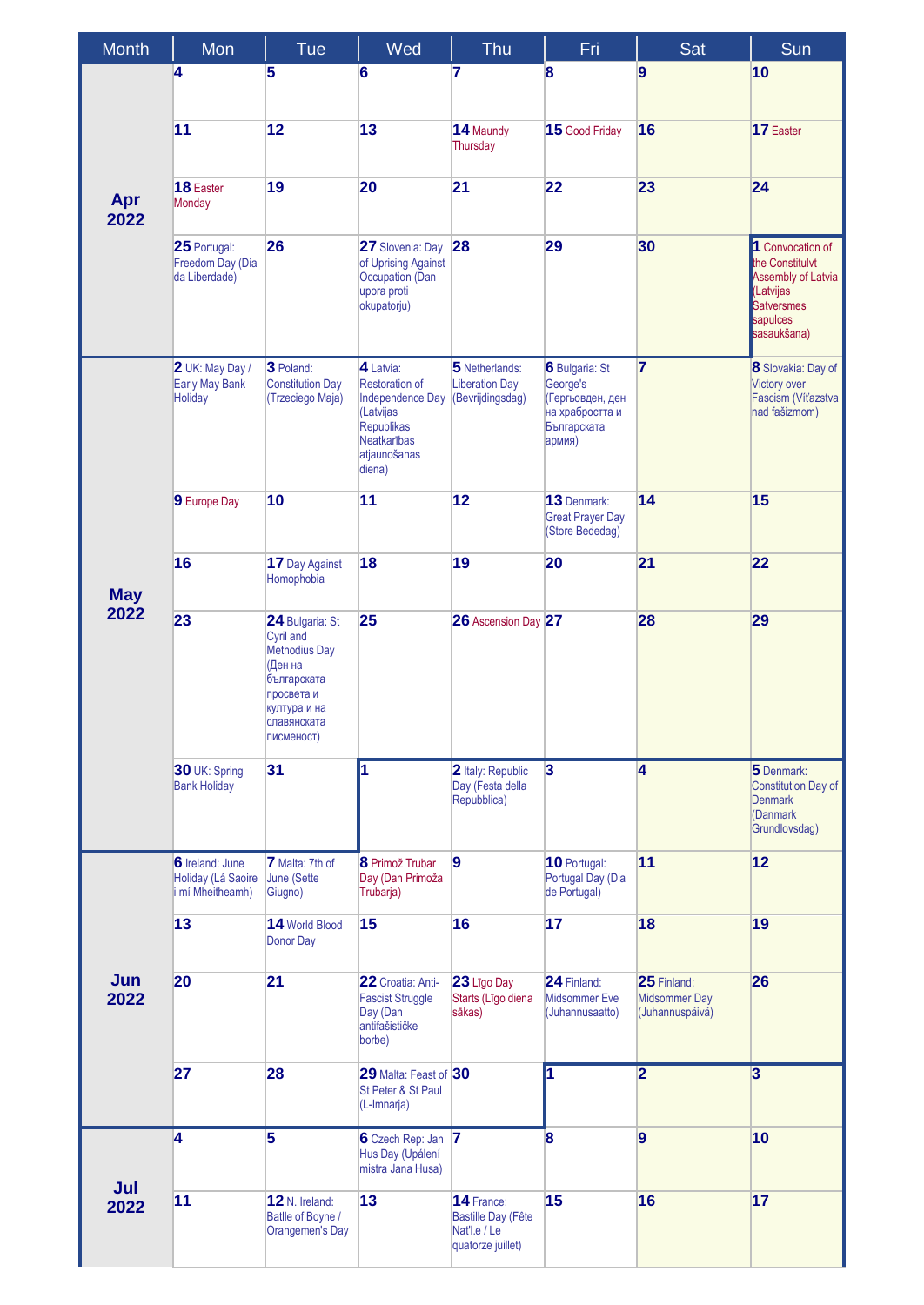| <b>Month</b> | Mon                                                              | Tue                                                                                                                                       | Wed                                                                                                                               | Thu                                                                          | Fri                                                                                               | Sat                                                    | Sun                                                                                                                           |
|--------------|------------------------------------------------------------------|-------------------------------------------------------------------------------------------------------------------------------------------|-----------------------------------------------------------------------------------------------------------------------------------|------------------------------------------------------------------------------|---------------------------------------------------------------------------------------------------|--------------------------------------------------------|-------------------------------------------------------------------------------------------------------------------------------|
| Apr<br>2022  | 4                                                                | $\overline{5}$                                                                                                                            | 6                                                                                                                                 | 7                                                                            | $\mathbf{8}$                                                                                      | $\overline{9}$                                         | 10                                                                                                                            |
|              | 11                                                               | 12                                                                                                                                        | 13                                                                                                                                | 14 Maundy<br>Thursday                                                        | 15 Good Friday                                                                                    | 16                                                     | 17 Easter                                                                                                                     |
|              | 18 Easter<br>Monday                                              | 19                                                                                                                                        | 20                                                                                                                                | 21                                                                           | 22                                                                                                | 23                                                     | 24                                                                                                                            |
|              | 25 Portugal:<br>Freedom Day (Dia<br>da Liberdade)                | 26                                                                                                                                        | 27 Slovenia: Day<br>of Uprising Against<br>Occupation (Dan<br>upora proti<br>okupatorju)                                          | 28                                                                           | 29                                                                                                | 30                                                     | 1 Convocation of<br>the Constitulvt<br><b>Assembly of Latvia</b><br>(Latvijas<br><b>Satversmes</b><br>sapulces<br>sasaukšana) |
|              | 2 UK: May Day /<br><b>Early May Bank</b><br><b>Holiday</b>       | 3 Poland:<br><b>Constitution Day</b><br>(Trzeciego Maja)                                                                                  | 4 Latvia:<br><b>Restoration of</b><br>Independence Day<br>(Latvijas<br>Republikas<br><b>Neatkarības</b><br>atjaunošanas<br>diena) | 5 Netherlands:<br><b>Liberation Day</b><br>(Bevrijdingsdag)                  | <b>6</b> Bulgaria: St<br>George's<br>(Гергьовден, ден<br>на храбростта и<br>Българската<br>армия) | $\overline{7}$                                         | 8 Slovakia: Day of<br>Victory over<br>Fascism (Víťazstva<br>nad fašizmom)                                                     |
|              | 9 Europe Day                                                     | 10                                                                                                                                        | 11                                                                                                                                | 12                                                                           | 13 Denmark:<br><b>Great Prayer Day</b><br>(Store Bededag)                                         | 14                                                     | 15                                                                                                                            |
| <b>May</b>   | 16                                                               | 17 Day Against<br>Homophobia                                                                                                              | 18                                                                                                                                | 19                                                                           | 20                                                                                                | 21                                                     | 22                                                                                                                            |
| 2022         | 23                                                               | 24 Bulgaria: St<br><b>Cyril and</b><br>Methodius Day<br>(Ден на<br>българската<br>просвета и<br>култура и на<br>славянската<br>писменост) | 25                                                                                                                                | 26 Ascension Day 27                                                          |                                                                                                   | 28                                                     | 29                                                                                                                            |
|              | 30 UK: Spring<br><b>Bank Holiday</b>                             | 31                                                                                                                                        | ł1                                                                                                                                | 2 Italy: Republic<br>Day (Festa della<br>Repubblica)                         | $\overline{\mathbf{3}}$                                                                           | 4                                                      | 5 Denmark:<br><b>Constitution Day of</b><br><b>Denmark</b><br>(Danmark<br>Grundlovsdag)                                       |
|              | <b>6</b> Ireland: June<br>Holiday (Lá Saoire<br>i mí Mheitheamh) | 7 Malta: 7th of<br>June (Sette<br>Giugno)                                                                                                 | 8 Primož Trubar<br>Day (Dan Primoža<br>Trubarja)                                                                                  | $\overline{9}$                                                               | 10 Portugal:<br>Portugal Day (Dia<br>de Portugal)                                                 | 11                                                     | 12                                                                                                                            |
|              | 13                                                               | 14 World Blood<br>Donor Day                                                                                                               | 15                                                                                                                                | 16                                                                           | 17                                                                                                | 18                                                     | 19                                                                                                                            |
| Jun<br>2022  | 20                                                               | 21                                                                                                                                        | 22 Croatia: Anti-<br><b>Fascist Struggle</b><br>Day (Dan<br>antifašističke<br>borbe)                                              | 23 Līgo Day<br>Starts (Līgo diena<br>sākas)                                  | 24 Finland:<br>Midsommer Eve<br>(Juhannusaatto)                                                   | 25 Finland:<br><b>Midsommer Day</b><br>(Juhannuspäivä) | 26                                                                                                                            |
|              | 27                                                               | 28                                                                                                                                        | 29 Malta: Feast of 30<br>St Peter & St Paul<br>(L-Imnarja)                                                                        |                                                                              | 1                                                                                                 | $\overline{\mathbf{2}}$                                | $\overline{3}$                                                                                                                |
|              | $\overline{4}$                                                   | $\overline{5}$                                                                                                                            | 6 Czech Rep: Jan 7<br>Hus Day (Upálení<br>mistra Jana Husa)                                                                       |                                                                              | 8                                                                                                 | $\overline{9}$                                         | 10                                                                                                                            |
| Jul<br>2022  | 11                                                               | 12 N. Ireland:<br>Batlle of Boyne /<br>Orangemen's Day                                                                                    | 13                                                                                                                                | 14 France:<br><b>Bastille Day (Fête</b><br>Nat'l.e / Le<br>quatorze juillet) | 15                                                                                                | 16                                                     | 17                                                                                                                            |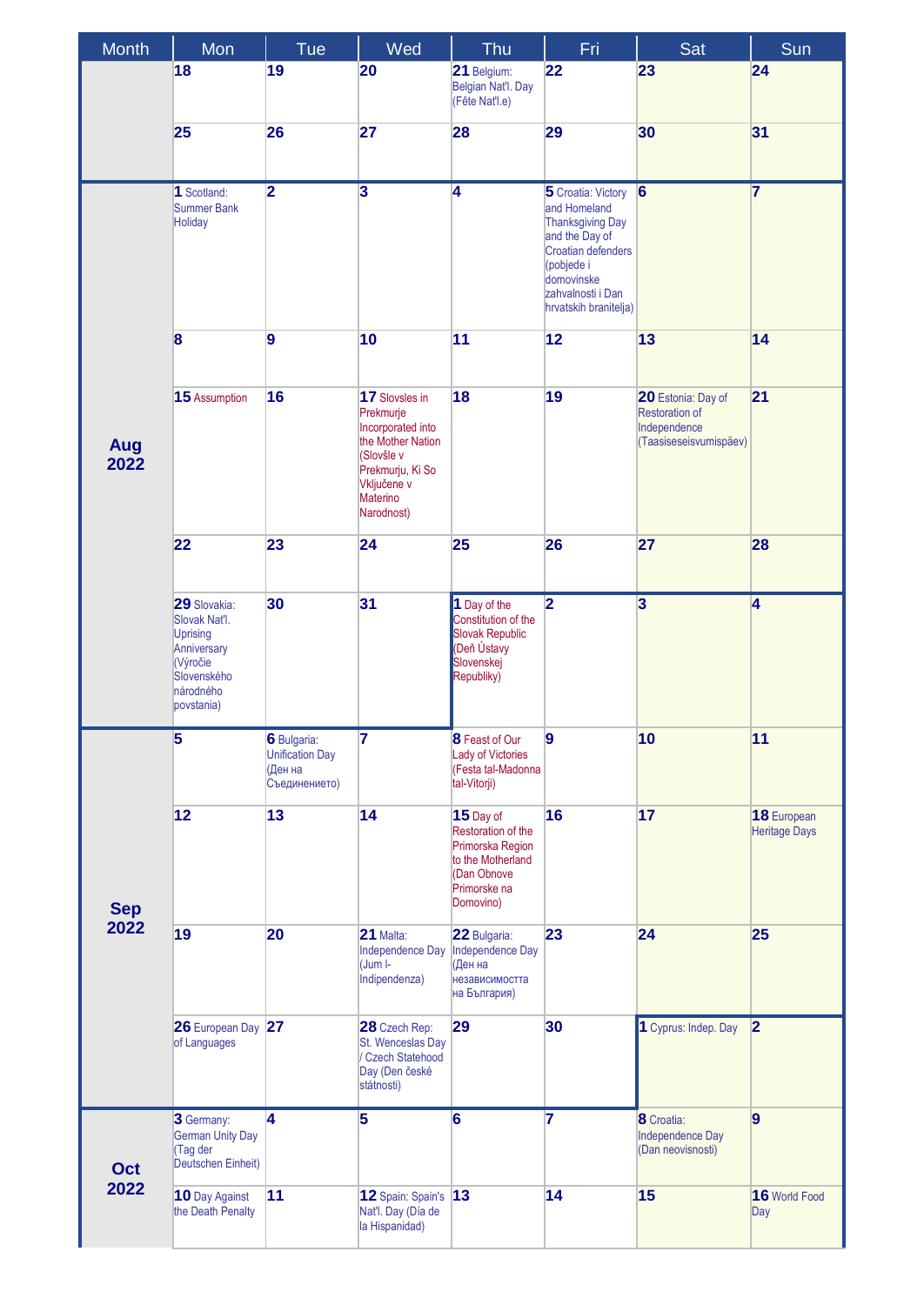| <b>Month</b> | Mon                                                                                                                   | Tue                                                               | Wed                                                                                                                                              | Thu                                                                                                                  | Fri                                                                                                                                                                      | Sat                                                                            | Sun                                 |
|--------------|-----------------------------------------------------------------------------------------------------------------------|-------------------------------------------------------------------|--------------------------------------------------------------------------------------------------------------------------------------------------|----------------------------------------------------------------------------------------------------------------------|--------------------------------------------------------------------------------------------------------------------------------------------------------------------------|--------------------------------------------------------------------------------|-------------------------------------|
|              | 18                                                                                                                    | 19                                                                | 20                                                                                                                                               | 21 Belgium:<br>Belgian Nat'l. Day<br>(Fête Nat'l.e)                                                                  | 22                                                                                                                                                                       | 23                                                                             | 24                                  |
|              | 25                                                                                                                    | 26                                                                | 27                                                                                                                                               | 28                                                                                                                   | 29                                                                                                                                                                       | 30                                                                             | 31                                  |
|              | 1 Scotland:<br>Summer Bank<br>Holiday                                                                                 | $\overline{2}$                                                    | $\overline{\mathbf{3}}$                                                                                                                          | 4                                                                                                                    | 5 Croatia: Victory<br>and Homeland<br>Thanksgiving Day<br>and the Day of<br>Croatian defenders<br>(pobjede i<br>domovinske<br>zahvalnosti i Dan<br>hrvatskih branitelja) | 6                                                                              | $\overline{7}$                      |
|              | 8                                                                                                                     | $\overline{9}$                                                    | 10                                                                                                                                               | 11                                                                                                                   | 12                                                                                                                                                                       | 13                                                                             | 14                                  |
| Aug<br>2022  | 15 Assumption                                                                                                         | 16                                                                | 17 Slovsles in<br>Prekmurje<br>Incorporated into<br>the Mother Nation<br>(Slovšle v<br>Prekmurju, Ki So<br>Vključene v<br>Materino<br>Narodnost) | 18                                                                                                                   | 19                                                                                                                                                                       | 20 Estonia: Day of<br>Restoration of<br>Independence<br>(Taasiseseisvumispäev) | 21                                  |
|              | 22                                                                                                                    | 23                                                                | 24                                                                                                                                               | 25                                                                                                                   | 26                                                                                                                                                                       | 27                                                                             | 28                                  |
|              | 29 Slovakia:<br>Slovak Nat'l.<br><b>Uprising</b><br>Anniversary<br>(Výročie<br>Slovenského<br>národného<br>povstania) | 30                                                                | 31                                                                                                                                               | $\overline{1}$ Day of the<br>Constitution of the<br>Slovak Republic<br>(Deň Ústavy<br>Slovenskej<br>Republiky)       | $\overline{\mathbf{2}}$                                                                                                                                                  | $\overline{\mathbf{3}}$                                                        | $\overline{4}$                      |
|              | 5                                                                                                                     | 6 Bulgaria:<br><b>Unification Day</b><br>(Ден на<br>Съединението) | 7                                                                                                                                                | <b>8</b> Feast of Our<br>Lady of Victories<br>(Festa tal-Madonna<br>tal-Vitorji)                                     | 9                                                                                                                                                                        | 10                                                                             | 11                                  |
| <b>Sep</b>   | 12                                                                                                                    | 13                                                                | 14                                                                                                                                               | 15 Day of<br>Restoration of the<br>Primorska Region<br>to the Motherland<br>(Dan Obnove<br>Primorske na<br>Domovino) | 16                                                                                                                                                                       | 17                                                                             | 18 European<br><b>Heritage Days</b> |
| 2022         | 19                                                                                                                    | 20                                                                | 21 Malta:<br>Independence Day<br>(Jum I-<br>Indipendenza)                                                                                        | 22 Bulgaria:<br>Independence Day<br>(Ден на<br>независимостта<br>на България)                                        | 23                                                                                                                                                                       | 24                                                                             | 25                                  |
|              | 26 European Day 27<br>of Languages                                                                                    |                                                                   | 28 Czech Rep:<br>St. Wenceslas Day<br>/ Czech Statehood<br>Day (Den české<br>státnosti)                                                          | 29                                                                                                                   | 30                                                                                                                                                                       | 1 Cyprus: Indep. Day                                                           | 2                                   |
| Oct          | 3 Germany:<br><b>German Unity Day</b><br>Tag der<br>Deutschen Einheit)                                                | 4                                                                 | 5                                                                                                                                                | $6\phantom{a}$                                                                                                       | 7                                                                                                                                                                        | 8 Croatia:<br>Independence Day<br>(Dan neovisnosti)                            | $\vert$ 9                           |
| 2022         | 10 Day Against<br>the Death Penalty                                                                                   | 11                                                                | 12 Spain: Spain's 13<br>Nat'l. Day (Día de<br>la Hispanidad)                                                                                     |                                                                                                                      | 14                                                                                                                                                                       | 15                                                                             | 16 World Food<br>Day                |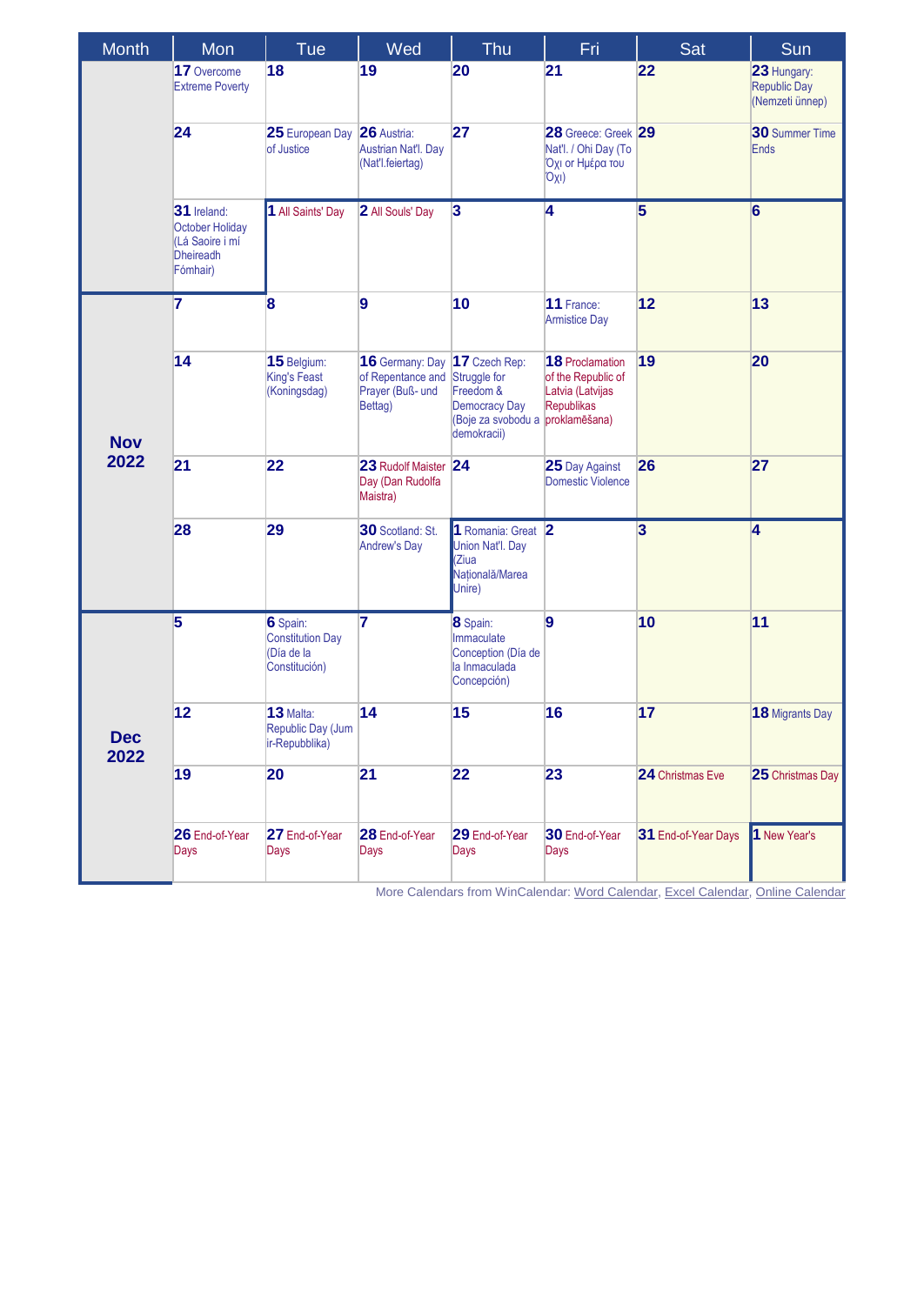| <b>Month</b>       | Mon                                                                               | Tue                                                                | Wed                                                                 | Thu                                                                                                     | Fri                                                                                             | Sat                     | Sun                                                   |
|--------------------|-----------------------------------------------------------------------------------|--------------------------------------------------------------------|---------------------------------------------------------------------|---------------------------------------------------------------------------------------------------------|-------------------------------------------------------------------------------------------------|-------------------------|-------------------------------------------------------|
|                    | 17 Overcome<br><b>Extreme Poverty</b>                                             | 18                                                                 | 19                                                                  | 20                                                                                                      | 21                                                                                              | 22                      | 23 Hungary:<br><b>Republic Day</b><br>(Nemzeti ünnep) |
|                    | 24                                                                                | 25 European Day 26 Austria:<br>of Justice                          | Austrian Nat'l. Day<br>(Nat'l.feiertag)                             | 27                                                                                                      | 28 Greece: Greek 29<br>Nat'l. / Ohi Day (To<br>Όχι οι Ημέρα του<br>Oxi)                         |                         | <b>30</b> Summer Time<br><b>Ends</b>                  |
|                    | 31 Ireland:<br>October Holiday<br>(Lá Saoire i mí<br><b>Dheireadh</b><br>Fómhair) | 1 All Saints' Day                                                  | 2 All Souls' Day                                                    | $\overline{\mathbf{3}}$                                                                                 | 4                                                                                               | $\overline{\mathbf{5}}$ | 6                                                     |
| <b>Nov</b>         | 7                                                                                 | 8                                                                  | 9                                                                   | 10                                                                                                      | 11 France:<br><b>Armistice Day</b>                                                              | 12                      | 13                                                    |
|                    | 14                                                                                | 15 Belgium:<br><b>King's Feast</b><br>(Koningsdag)                 | 16 Germany: Day<br>of Repentance and<br>Prayer (Buß- und<br>Bettag) | 17 Czech Rep:<br>Struggle for<br>Freedom &<br><b>Democracy Day</b><br>(Boje za svobodu a<br>demokracii) | <b>18</b> Proclamation<br>of the Republic of<br>Latvia (Latvijas<br>Republikas<br>proklamēšana) | 19                      | 20                                                    |
| 2022               | 21                                                                                | 22                                                                 | 23 Rudolf Maister<br>Day (Dan Rudolfa<br>Maistra)                   | 24                                                                                                      | 25 Day Against<br><b>Domestic Violence</b>                                                      | 26                      | 27                                                    |
|                    | 28                                                                                | 29                                                                 | 30 Scotland: St.<br><b>Andrew's Day</b>                             | 1 Romania: Great 2<br>Union Nat'l. Day<br>Ziua<br>Natională/Marea<br>Unire)                             |                                                                                                 | $\overline{\mathbf{3}}$ | $\overline{\mathbf{4}}$                               |
| <b>Dec</b><br>2022 | 5                                                                                 | 6 Spain:<br><b>Constitution Day</b><br>(Día de la<br>Constitución) | 7                                                                   | 8 Spain:<br>Immaculate<br>Conception (Día de<br>la Inmaculada<br>Concepción)                            | $\overline{9}$                                                                                  | 10                      | 11                                                    |
|                    | 12                                                                                | 13 Malta:<br>Republic Day (Jum<br>ir-Repubblika)                   | 14                                                                  | 15                                                                                                      | 16                                                                                              | 17                      | 18 Migrants Day                                       |
|                    | 19                                                                                | 20                                                                 | 21                                                                  | 22                                                                                                      | 23                                                                                              | 24 Christmas Eve        | 25 Christmas Day                                      |
|                    | 26 End-of-Year<br>Days                                                            | 27 End-of-Year<br>Days                                             | 28 End-of-Year<br>Days                                              | 29 End-of-Year<br>Days                                                                                  | 30 End-of-Year<br>Days                                                                          | 31 End-of-Year Days     | 1 New Year's                                          |

More Calendars from WinCalendar[: Word Calendar,](https://www.wincalendar.com/2022-Calendar-with-EU-Holidays) [Excel Calendar,](https://www.wincalendar.com/2022-Calendar-EU-Holidays-Excel) [Online Calendar](https://www.wincalendar.com/EU-Calendar)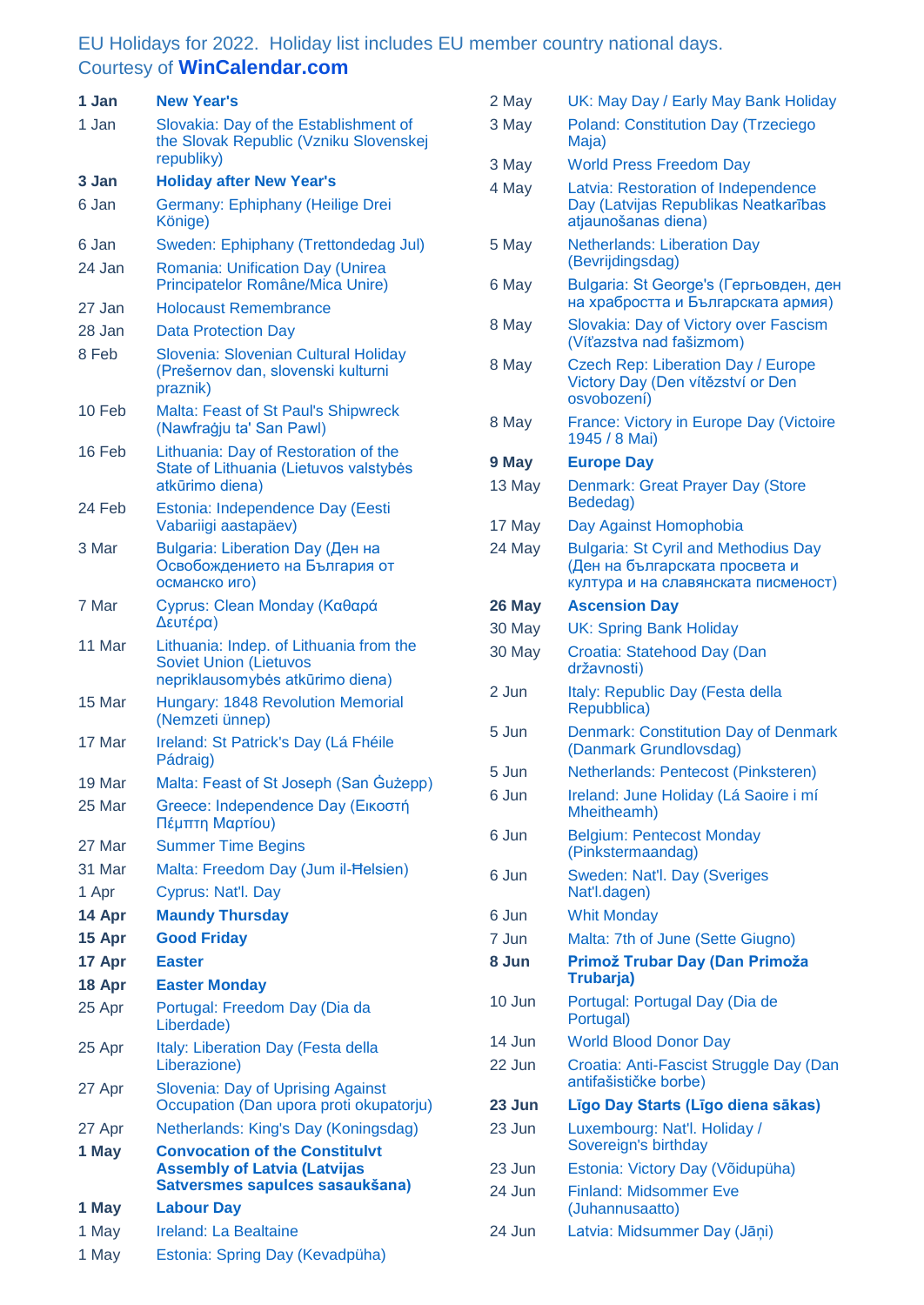## EU Holidays for 2022. Holiday list includes EU member country national days. Courtesy of **[WinCalendar.com](https://www.wincalendar.com/EU-Calendar/2022)**

| 1 Jan  | <b>New Year's</b>                                                                                               |
|--------|-----------------------------------------------------------------------------------------------------------------|
| 1 Jan  | Slovakia: Day of the Establishment of<br>the Slovak Republic (Vzniku Slovenskej<br>republiky)                   |
| 3 Jan  | <b>Holiday after New Year's</b>                                                                                 |
| 6 Jan  | Germany: Ephiphany (Heilige Drei<br>Könige)                                                                     |
| 6 Jan  | Sweden: Ephiphany (Trettondedag Jul)                                                                            |
| 24 Jan | Romania: Unification Day (Unirea<br>Principatelor Române/Mica Unire)                                            |
| 27 Jan | Holocaust Remembrance                                                                                           |
| 28 Jan | <b>Data Protection Day</b>                                                                                      |
| 8 Feb  | Slovenia: Slovenian Cultural Holiday<br>(Prešernov dan, slovenski kulturni<br>praznik)                          |
| 10 Feb | Malta: Feast of St Paul's Shipwreck<br>(Nawfrağju ta' San Pawl)                                                 |
| 16 Feb | Lithuania: Day of Restoration of the<br>State of Lithuania (Lietuvos valstybės<br>atkūrimo diena)               |
| 24 Feb | Estonia: Independence Day (Eesti<br>Vabariigi aastapäev)                                                        |
| 3 Mar  | <b>Bulgaria: Liberation Day (Ден на</b><br>Освобождението на България от<br>османско иго)                       |
| 7 Mar  | Cyprus: Clean Monday (Καθαρά<br>Δευτέρα)                                                                        |
| 11 Mar | Lithuania: Indep. of Lithuania from the<br><b>Soviet Union (Lietuvos</b><br>nepriklausomybės atkūrimo diena)    |
| 15 Mar | Hungary: 1848 Revolution Memorial<br>(Nemzeti ünnep)                                                            |
| 17 Mar | Ireland: St Patrick's Day (Lá Fhéile<br>Pádraig)                                                                |
| 19 Mar | Malta: Feast of St Joseph (San Gużepp)                                                                          |
| 25 Mar | Greece: Independence Day (Εικοστή<br>Πέμπτη Μαρτίου)                                                            |
| 27 Mar | <b>Summer Time Begins</b>                                                                                       |
| 31 Mar | Malta: Freedom Day (Jum il-Helsien)                                                                             |
| 1 Apr  | Cyprus: Nat'l. Day                                                                                              |
| 14 Apr | <b>Maundy Thursday</b>                                                                                          |
| 15 Apr | <b>Good Friday</b>                                                                                              |
| 17 Apr | <b>Easter</b>                                                                                                   |
| 18 Apr | <b>Easter Monday</b>                                                                                            |
| 25 Apr | Portugal: Freedom Day (Dia da<br>Liberdade)                                                                     |
| 25 Apr | Italy: Liberation Day (Festa della<br>Liberazione)                                                              |
| 27 Apr | <b>Slovenia: Day of Uprising Against</b><br>Occupation (Dan upora proti okupatorju)                             |
| 27 Apr | Netherlands: King's Day (Koningsdag)                                                                            |
| 1 May  | <b>Convocation of the Constitulvt</b><br><b>Assembly of Latvia (Latvijas</b><br>Satversmes sapulces sasaukšana) |
| 1 May  | <b>Labour Day</b>                                                                                               |
| 1 May  | <b>Ireland: La Bealtaine</b>                                                                                    |
| 1 May  | Estonia: Spring Day (Kevadpüha)                                                                                 |

| 2 May            | UK: May Day / Early May Bank Holiday                                                                                 |
|------------------|----------------------------------------------------------------------------------------------------------------------|
| 3 May            | <b>Poland: Constitution Day (Trzeciego</b><br>Maja)                                                                  |
| 3 May            | <b>World Press Freedom Day</b>                                                                                       |
| 4 May            | Latvia: Restoration of Independence<br>Day (Latvijas Republikas Neatkarības<br>atjaunošanas diena)                   |
| 5 May            | <b>Netherlands: Liberation Day</b><br>(Bevrijdingsdag)                                                               |
| 6 May            | Bulgaria: St George's (Гергьовден, ден<br>на храбростта и Българската армия)                                         |
| 8 May            | Slovakia: Day of Victory over Fascism<br>(Víťazstva nad fašizmom)                                                    |
| 8 May            | <b>Czech Rep: Liberation Day / Europe</b><br>Victory Day (Den vítězství or Den<br>osvobození)                        |
| 8 May            | France: Victory in Europe Day (Victoire<br>1945 / 8 Mai)                                                             |
| 9 May            | <b>Europe Day</b>                                                                                                    |
| 13 May           | Denmark: Great Prayer Day (Store<br>Bededag)                                                                         |
| 17 May           | Day Against Homophobia                                                                                               |
| 24 May           | <b>Bulgaria: St Cyril and Methodius Day</b><br>(Ден на българската просвета и<br>култура и на славянската писменост) |
| 26 May           | <b>Ascension Day</b>                                                                                                 |
| 30 May           | <b>UK: Spring Bank Holiday</b>                                                                                       |
| 30 May           | Croatia: Statehood Day (Dan<br>državnosti)                                                                           |
|                  |                                                                                                                      |
| 2 Jun            | Italy: Republic Day (Festa della<br>Repubblica)                                                                      |
| 5 Jun            | <b>Denmark: Constitution Day of Denmark</b><br>(Danmark Grundlovsdag)                                                |
| 5 Jun            | Netherlands: Pentecost (Pinksteren)                                                                                  |
| 6 Jun            | Ireland: June Holiday (Lá Saoire i mí<br>Mheitheamh)                                                                 |
| 6 Jun            | <b>Belgium: Pentecost Monday</b><br>(Pinkstermaandag)                                                                |
| 6 Jun            | Sweden: Nat'l. Day (Sveriges<br>Nat'l.dagen)                                                                         |
| 6 Jun            | <b>Whit Monday</b>                                                                                                   |
| 7 Jun            | Malta: 7th of June (Sette Giugno)                                                                                    |
| 8 Jun            | Primož Trubar Day (Dan Primoža<br>Trubarja)                                                                          |
| 10 Jun           | Portugal: Portugal Day (Dia de<br>Portugal)                                                                          |
| 14 Jun           | <b>World Blood Donor Day</b>                                                                                         |
| 22 Jun           | Croatia: Anti-Fascist Struggle Day (Dan<br>antifašističke borbe)                                                     |
| 23 Jun           | Līgo Day Starts (Līgo diena sākas)                                                                                   |
| 23 Jun           | Luxembourg: Nat'l. Holiday /<br>Sovereign's birthday                                                                 |
| 23 Jun           | Estonia: Victory Day (Võidupüha)                                                                                     |
| 24 Jun<br>24 Jun | <b>Finland: Midsommer Eve</b><br>(Juhannusaatto)<br>Latvia: Midsummer Day (Jāņi)                                     |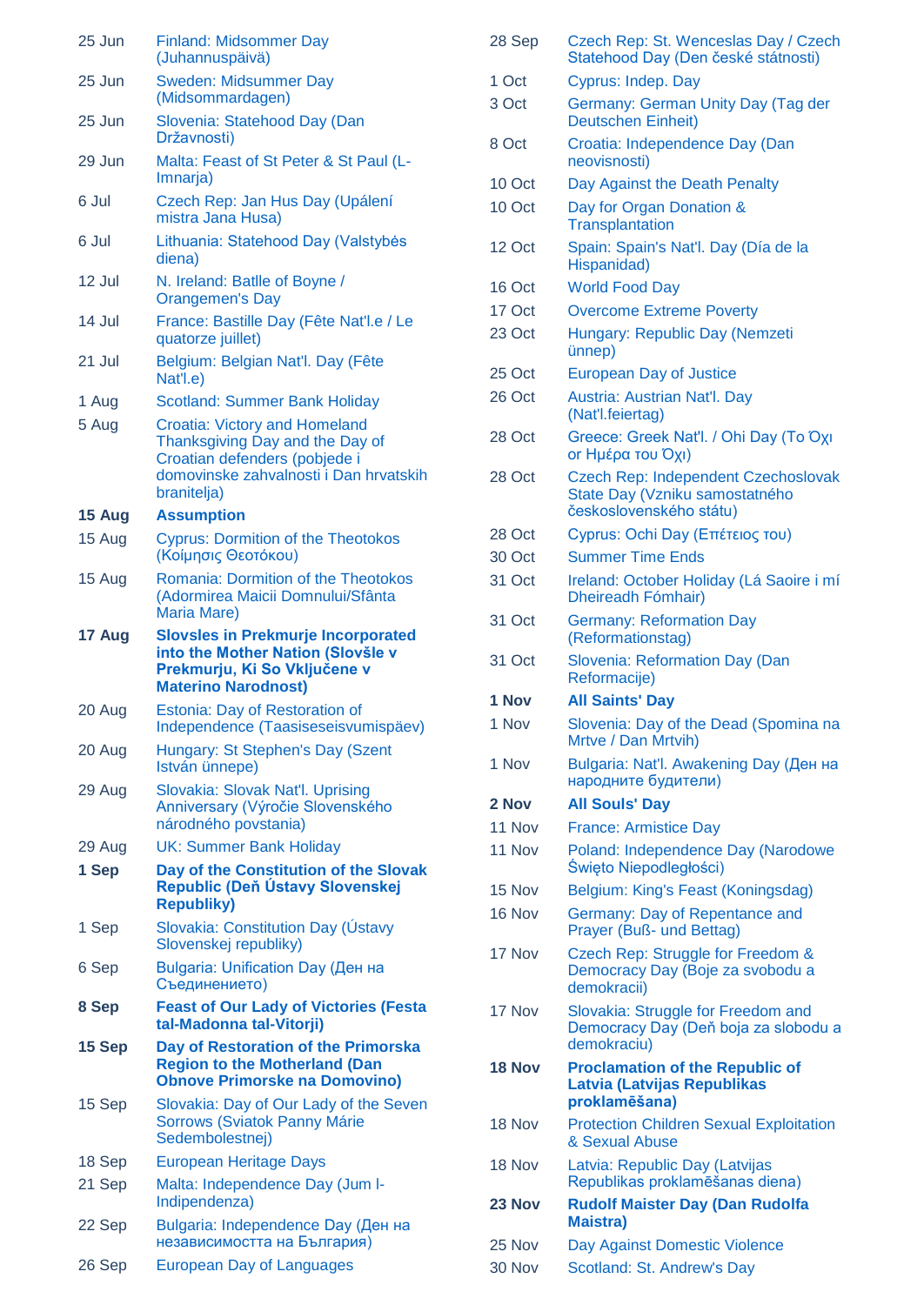| 25 Jun | <b>Finland: Midsommer Day</b><br>(Juhannuspäivä)                                                                    |
|--------|---------------------------------------------------------------------------------------------------------------------|
| 25 Jun | <b>Sweden: Midsummer Day</b><br>(Midsommardagen)                                                                    |
| 25 Jun | Slovenia: Statehood Day (Dan<br>Državnosti)                                                                         |
| 29 Jun | Malta: Feast of St Peter & St Paul (L-<br>Imnarja)                                                                  |
| 6 Jul  | Czech Rep: Jan Hus Day (Upálení<br>mistra Jana Husa)                                                                |
| 6 Jul  | Lithuania: Statehood Day (Valstybės<br>diena)                                                                       |
| 12 Jul | N. Ireland: Batlle of Boyne /<br><b>Orangemen's Day</b>                                                             |
| 14 Jul | France: Bastille Day (Fête Nat'l.e / Le<br>quatorze juillet)                                                        |
| 21 Jul | Belgium: Belgian Nat'l. Day (Fête<br>Nat'l.e)                                                                       |
| 1 Aug  | <b>Scotland: Summer Bank Holiday</b>                                                                                |
| 5 Aug  | <b>Croatia: Victory and Homeland</b>                                                                                |
|        | Thanksgiving Day and the Day of                                                                                     |
|        | Croatian defenders (pobjede i                                                                                       |
|        | domovinske zahvalnosti i Dan hrvatskih<br>branitelja)                                                               |
| 15 Aug | <b>Assumption</b>                                                                                                   |
| 15 Aug | <b>Cyprus: Dormition of the Theotokos</b><br>(Κοίμησις Θεοτόκου)                                                    |
| 15 Aug | Romania: Dormition of the Theotokos<br>(Adormirea Maicii Domnului/Sfânta<br>Maria Mare)                             |
| 17 Aug | <b>Slovsles in Prekmurje Incorporated</b>                                                                           |
|        | into the Mother Nation (Slovšle v<br>Prekmurju, Ki So Vključene v                                                   |
|        | <b>Materino Narodnost)</b>                                                                                          |
| 20 Aug | Estonia: Day of Restoration of<br>Independence (Taasiseseisvumispäev)                                               |
| 20 Aug | Hungary: St Stephen's Day (Szent<br>István ünnepe)                                                                  |
| 29 Aug | Slovakia: Slovak Nat'l. Uprising<br>Anniversary (Výročie Slovenského                                                |
|        | národného povstania)                                                                                                |
| 29 Aug | UK: Summer Bank Holiday                                                                                             |
| 1 Sep  | Day of the Constitution of the Slovak<br>Republic (Deň Ústavy Slovenskej<br><b>Republiky)</b>                       |
| 1 Sep  | Slovakia: Constitution Day (Ustavy<br>Slovenskej republiky)                                                         |
| 6 Sep  | <b>Bulgaria: Unification Day (Ден на</b><br>Съединението)                                                           |
| 8 Sep  | <b>Feast of Our Lady of Victories (Festa</b><br>tal-Madonna tal-Vitorji)                                            |
| 15 Sep | Day of Restoration of the Primorska<br><b>Region to the Motherland (Dan</b><br><b>Obnove Primorske na Domovino)</b> |
| 15 Sep | Slovakia: Day of Our Lady of the Seven<br>Sorrows (Sviatok Panny Márie<br>Sedembolestnej)                           |
| 18 Sep | <b>European Heritage Days</b>                                                                                       |
| 21 Sep | Malta: Independence Day (Jum I-<br>Indipendenza)                                                                    |
| 22 Sep | Bulgaria: Independence Day (Ден на<br>независимостта на България)                                                   |

| 28 Sep | Czech Rep: St. Wenceslas Day / Czech<br>Statehood Day (Den české státnosti)                      |
|--------|--------------------------------------------------------------------------------------------------|
| 1 Oct  | Cyprus: Indep. Day                                                                               |
| 3 Oct  | Germany: German Unity Day (Tag der<br><b>Deutschen Einheit)</b>                                  |
| 8 Oct  | Croatia: Independence Day (Dan<br>neovisnosti)                                                   |
| 10 Oct | Day Against the Death Penalty                                                                    |
| 10 Oct | Day for Organ Donation &<br><b>Transplantation</b>                                               |
| 12 Oct | Spain: Spain's Nat'l. Day (Día de la<br>Hispanidad)                                              |
| 16 Oct | <b>World Food Day</b>                                                                            |
| 17 Oct | <b>Overcome Extreme Poverty</b>                                                                  |
| 23 Oct | Hungary: Republic Day (Nemzeti<br>ünnep)                                                         |
| 25 Oct | <b>European Day of Justice</b>                                                                   |
| 26 Oct | Austria: Austrian Nat'l. Day<br>(Nat'l.feiertag)                                                 |
| 28 Oct | Greece: Greek Nat'l. / Ohi Day (To Oxi<br>or Ημέρα του Όχι)                                      |
| 28 Oct | Czech Rep: Independent Czechoslovak<br>State Day (Vzniku samostatného<br>československého státu) |
| 28 Oct | Cyprus: Ochi Day (Επέτειος του)                                                                  |
| 30 Oct | <b>Summer Time Ends</b>                                                                          |
| 31 Oct | Ireland: October Holiday (Lá Saoire i mí<br>Dheireadh Fómhair)                                   |
| 31 Oct | <b>Germany: Reformation Day</b><br>(Reformationstag)                                             |
| 31 Oct | Slovenia: Reformation Day (Dan<br>Reformacije)                                                   |
| 1 Nov  | <b>All Saints' Day</b>                                                                           |
| 1 Nov  | Slovenia: Day of the Dead (Spomina na<br>Mrtve / Dan Mrtvih)                                     |
| 1 Nov  | Bulgaria: Nat'l. Awakening Day (Ден на<br>народните будители)                                    |
| 2 Nov  | <b>All Souls' Day</b>                                                                            |
| 11 Nov | <b>France: Armistice Day</b>                                                                     |
| 11 Nov | Poland: Independence Day (Narodowe<br>Święto Niepodległości)                                     |
| 15 Nov | Belgium: King's Feast (Koningsdag)                                                               |
| 16 Nov | Germany: Day of Repentance and<br>Prayer (Buß- und Bettag)                                       |
| 17 Nov | Czech Rep: Struggle for Freedom &<br>Democracy Day (Boje za svobodu a<br>demokracii)             |
| 17 Nov | Slovakia: Struggle for Freedom and<br>Democracy Day (Deň boja za slobodu a<br>demokraciu)        |
| 18 Nov | <b>Proclamation of the Republic of</b><br>Latvia (Latvijas Republikas<br>proklamēšana)           |
| 18 Nov | <b>Protection Children Sexual Exploitation</b><br>& Sexual Abuse                                 |
| 18 Nov | Latvia: Republic Day (Latvijas<br>Republikas proklamēšanas diena)                                |
| 23 Nov | <b>Rudolf Maister Day (Dan Rudolfa</b><br><b>Maistra)</b>                                        |
| 25 Nov | Day Against Domestic Violence                                                                    |
| 30 Nov | Scotland: St. Andrew's Day                                                                       |
|        |                                                                                                  |